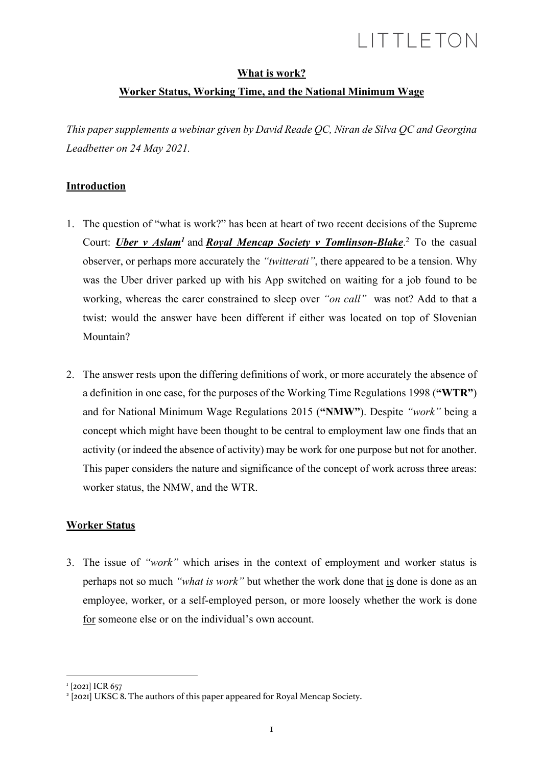### **What is work?**

## **Worker Status, Working Time, and the National Minimum Wage**

*This paper supplements a webinar given by David Reade QC, Niran de Silva QC and Georgina Leadbetter on 24 May 2021.*

## **Introduction**

- 1. The question of "what is work?" has been at heart of two recent decisions of the Supreme Court: *Uber v Aslam<sup>1</sup>* and *Royal Mencap Society v Tomlinson-Blake*.<sup>2</sup> To the casual observer, or perhaps more accurately the *"twitterati"*, there appeared to be a tension. Why was the Uber driver parked up with his App switched on waiting for a job found to be working, whereas the carer constrained to sleep over *"on call"* was not? Add to that a twist: would the answer have been different if either was located on top of Slovenian Mountain?
- 2. The answer rests upon the differing definitions of work, or more accurately the absence of a definition in one case, for the purposes of the Working Time Regulations 1998 (**"WTR"**) and for National Minimum Wage Regulations 2015 (**"NMW"**). Despite *"work"* being a concept which might have been thought to be central to employment law one finds that an activity (or indeed the absence of activity) may be work for one purpose but not for another. This paper considers the nature and significance of the concept of work across three areas: worker status, the NMW, and the WTR.

## **Worker Status**

3. The issue of *"work"* which arises in the context of employment and worker status is perhaps not so much *"what is work"* but whether the work done that is done is done as an employee, worker, or a self-employed person, or more loosely whether the work is done for someone else or on the individual's own account.

<sup>&</sup>lt;sup>1</sup> [2021] ICR 657

<sup>&</sup>lt;sup>2</sup> [2021] UKSC 8. The authors of this paper appeared for Royal Mencap Society.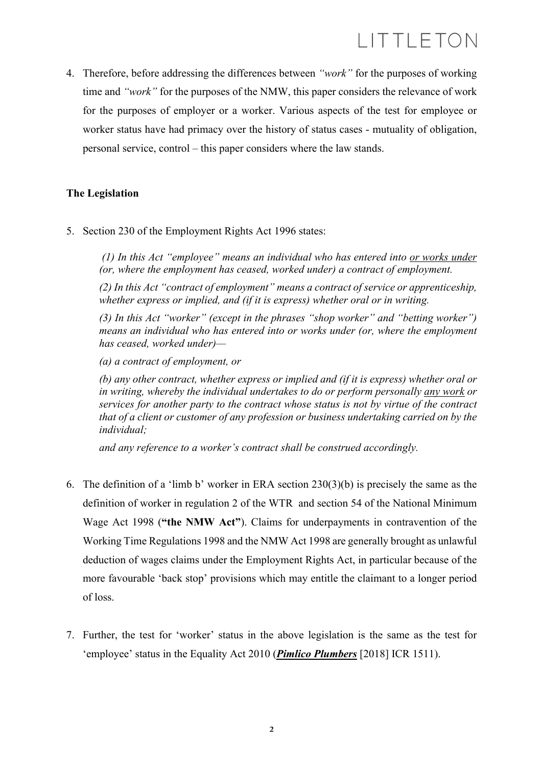4. Therefore, before addressing the differences between *"work"* for the purposes of working time and *"work"* for the purposes of the NMW, this paper considers the relevance of work for the purposes of employer or a worker. Various aspects of the test for employee or worker status have had primacy over the history of status cases - mutuality of obligation, personal service, control – this paper considers where the law stands.

### **The Legislation**

5. Section 230 of the Employment Rights Act 1996 states:

*(1) In this Act "employee" means an individual who has entered into or works under (or, where the employment has ceased, worked under) a contract of employment.*

*(2) In this Act "contract of employment" means a contract of service or apprenticeship, whether express or implied, and (if it is express) whether oral or in writing.*

*(3) In this Act "worker" (except in the phrases "shop worker" and "betting worker") means an individual who has entered into or works under (or, where the employment has ceased, worked under)—*

*(a) a contract of employment, or*

*(b) any other contract, whether express or implied and (if it is express) whether oral or in writing, whereby the individual undertakes to do or perform personally any work or services for another party to the contract whose status is not by virtue of the contract that of a client or customer of any profession or business undertaking carried on by the individual;*

*and any reference to a worker's contract shall be construed accordingly.*

- 6. The definition of a 'limb b' worker in ERA section 230(3)(b) is precisely the same as the definition of worker in regulation 2 of the WTR and section 54 of the National Minimum Wage Act 1998 (**"the NMW Act"**). Claims for underpayments in contravention of the Working Time Regulations 1998 and the NMW Act 1998 are generally brought as unlawful deduction of wages claims under the Employment Rights Act, in particular because of the more favourable 'back stop' provisions which may entitle the claimant to a longer period of loss.
- 7. Further, the test for 'worker' status in the above legislation is the same as the test for 'employee' status in the Equality Act 2010 (*Pimlico Plumbers* [2018] ICR 1511).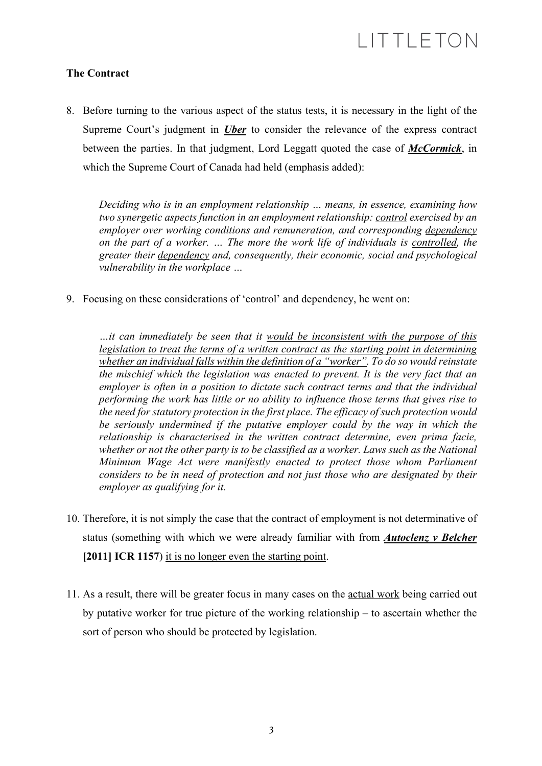### **The Contract**

8. Before turning to the various aspect of the status tests, it is necessary in the light of the Supreme Court's judgment in *Uber* to consider the relevance of the express contract between the parties. In that judgment, Lord Leggatt quoted the case of *McCormick*, in which the Supreme Court of Canada had held (emphasis added):

*Deciding who is in an employment relationship … means, in essence, examining how two synergetic aspects function in an employment relationship: control exercised by an employer over working conditions and remuneration, and corresponding dependency on the part of a worker. … The more the work life of individuals is controlled, the greater their dependency and, consequently, their economic, social and psychological vulnerability in the workplace …*

9. Focusing on these considerations of 'control' and dependency, he went on:

*…it can immediately be seen that it would be inconsistent with the purpose of this legislation to treat the terms of a written contract as the starting point in determining whether an individual falls within the definition of a "worker". To do so would reinstate the mischief which the legislation was enacted to prevent. It is the very fact that an employer is often in a position to dictate such contract terms and that the individual performing the work has little or no ability to influence those terms that gives rise to the need for statutory protection in the first place. The efficacy of such protection would be seriously undermined if the putative employer could by the way in which the relationship is characterised in the written contract determine, even prima facie, whether or not the other party is to be classified as a worker. Laws such as the National Minimum Wage Act were manifestly enacted to protect those whom Parliament considers to be in need of protection and not just those who are designated by their employer as qualifying for it.*

- 10. Therefore, it is not simply the case that the contract of employment is not determinative of status (something with which we were already familiar with from *Autoclenz v Belcher* [2011] **ICR 1157**) it is no longer even the starting point.
- 11. As a result, there will be greater focus in many cases on the actual work being carried out by putative worker for true picture of the working relationship – to ascertain whether the sort of person who should be protected by legislation.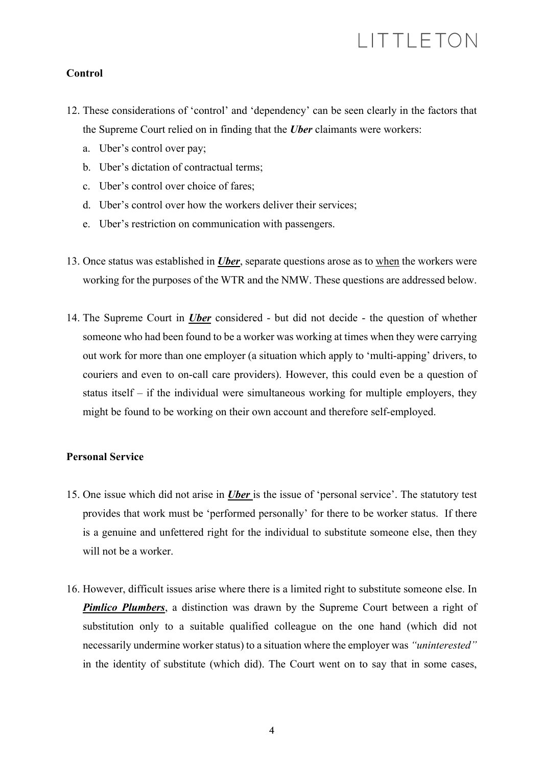### **Control**

- 12. These considerations of 'control' and 'dependency' can be seen clearly in the factors that the Supreme Court relied on in finding that the *Uber* claimants were workers:
	- a. Uber's control over pay;
	- b. Uber's dictation of contractual terms;
	- c. Uber's control over choice of fares;
	- d. Uber's control over how the workers deliver their services;
	- e. Uber's restriction on communication with passengers.
- 13. Once status was established in *Uber*, separate questions arose as to when the workers were working for the purposes of the WTR and the NMW. These questions are addressed below.
- 14. The Supreme Court in *Uber* considered but did not decide the question of whether someone who had been found to be a worker was working at times when they were carrying out work for more than one employer (a situation which apply to 'multi-apping' drivers, to couriers and even to on-call care providers). However, this could even be a question of status itself – if the individual were simultaneous working for multiple employers, they might be found to be working on their own account and therefore self-employed.

### **Personal Service**

- 15. One issue which did not arise in *Uber* is the issue of 'personal service'. The statutory test provides that work must be 'performed personally' for there to be worker status. If there is a genuine and unfettered right for the individual to substitute someone else, then they will not be a worker.
- 16. However, difficult issues arise where there is a limited right to substitute someone else. In *Pimlico Plumbers*, a distinction was drawn by the Supreme Court between a right of substitution only to a suitable qualified colleague on the one hand (which did not necessarily undermine worker status) to a situation where the employer was *"uninterested"* in the identity of substitute (which did). The Court went on to say that in some cases,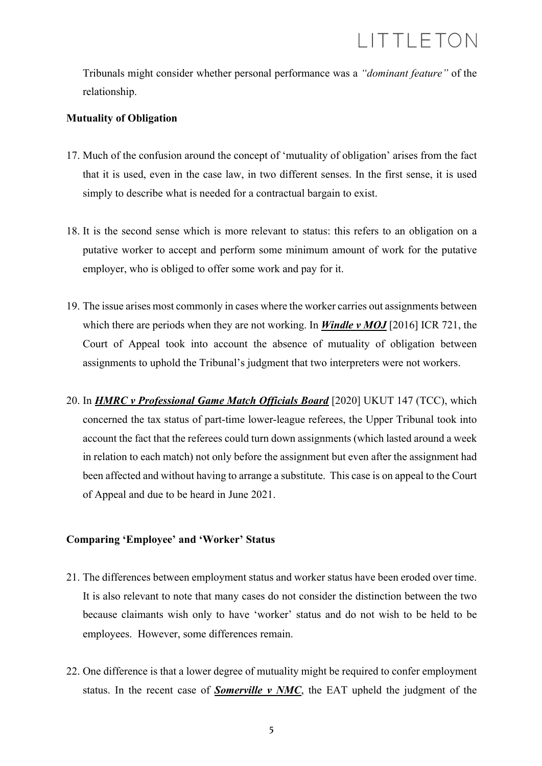Tribunals might consider whether personal performance was a *"dominant feature"* of the relationship.

#### **Mutuality of Obligation**

- 17. Much of the confusion around the concept of 'mutuality of obligation' arises from the fact that it is used, even in the case law, in two different senses. In the first sense, it is used simply to describe what is needed for a contractual bargain to exist.
- 18. It is the second sense which is more relevant to status: this refers to an obligation on a putative worker to accept and perform some minimum amount of work for the putative employer, who is obliged to offer some work and pay for it.
- 19. The issue arises most commonly in cases where the worker carries out assignments between which there are periods when they are not working. In *Windle v MOJ* [2016] ICR 721, the Court of Appeal took into account the absence of mutuality of obligation between assignments to uphold the Tribunal's judgment that two interpreters were not workers.
- 20. In *HMRC v Professional Game Match Officials Board* [2020] UKUT 147 (TCC), which concerned the tax status of part-time lower-league referees, the Upper Tribunal took into account the fact that the referees could turn down assignments (which lasted around a week in relation to each match) not only before the assignment but even after the assignment had been affected and without having to arrange a substitute. This case is on appeal to the Court of Appeal and due to be heard in June 2021.

### **Comparing 'Employee' and 'Worker' Status**

- 21. The differences between employment status and worker status have been eroded over time. It is also relevant to note that many cases do not consider the distinction between the two because claimants wish only to have 'worker' status and do not wish to be held to be employees. However, some differences remain.
- 22. One difference is that a lower degree of mutuality might be required to confer employment status. In the recent case of *Somerville v NMC*, the EAT upheld the judgment of the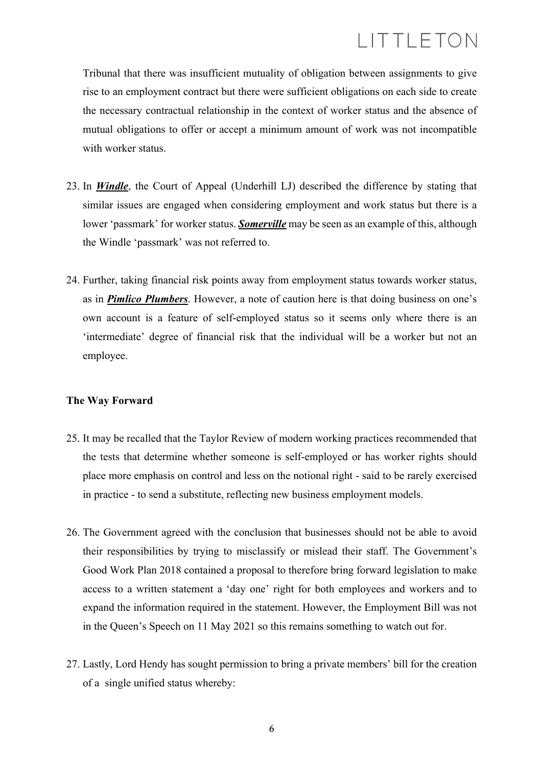Tribunal that there was insufficient mutuality of obligation between assignments to give rise to an employment contract but there were sufficient obligations on each side to create the necessary contractual relationship in the context of worker status and the absence of mutual obligations to offer or accept a minimum amount of work was not incompatible with worker status.

- 23. In *Windle*, the Court of Appeal (Underhill LJ) described the difference by stating that similar issues are engaged when considering employment and work status but there is a lower 'passmark' for worker status. *Somerville* may be seen as an example of this, although the Windle 'passmark' was not referred to.
- 24. Further, taking financial risk points away from employment status towards worker status, as in *Pimlico Plumbers*. However, a note of caution here is that doing business on one's own account is a feature of self-employed status so it seems only where there is an 'intermediate' degree of financial risk that the individual will be a worker but not an employee.

#### **The Way Forward**

- 25. It may be recalled that the Taylor Review of modern working practices recommended that the tests that determine whether someone is self-employed or has worker rights should place more emphasis on control and less on the notional right - said to be rarely exercised in practice - to send a substitute, reflecting new business employment models.
- 26. The Government agreed with the conclusion that businesses should not be able to avoid their responsibilities by trying to misclassify or mislead their staff. The Government's Good Work Plan 2018 contained a proposal to therefore bring forward legislation to make access to a written statement a 'day one' right for both employees and workers and to expand the information required in the statement. However, the Employment Bill was not in the Queen's Speech on 11 May 2021 so this remains something to watch out for.
- 27. Lastly, Lord Hendy has sought permission to bring a private members' bill for the creation of a single unified status whereby: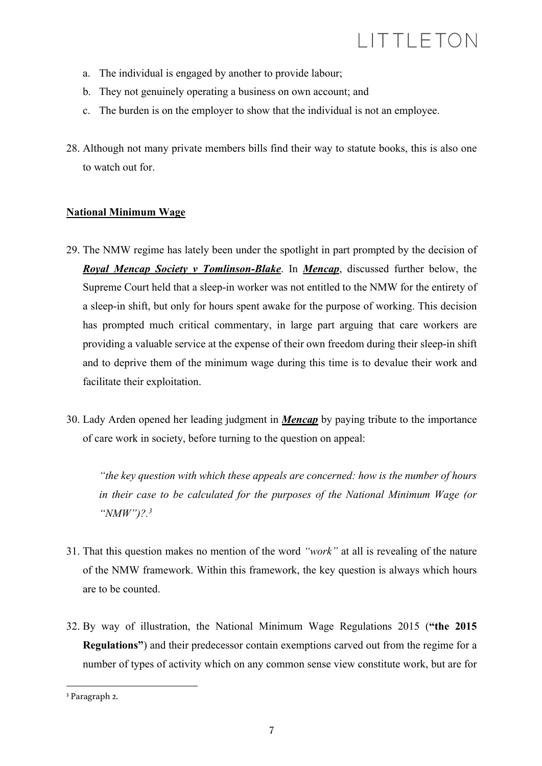- a. The individual is engaged by another to provide labour;
- b. They not genuinely operating a business on own account; and
- c. The burden is on the employer to show that the individual is not an employee.
- 28. Although not many private members bills find their way to statute books, this is also one to watch out for.

### **National Minimum Wage**

- 29. The NMW regime has lately been under the spotlight in part prompted by the decision of *Royal Mencap Society v Tomlinson-Blake*. In *Mencap*, discussed further below, the Supreme Court held that a sleep-in worker was not entitled to the NMW for the entirety of a sleep-in shift, but only for hours spent awake for the purpose of working. This decision has prompted much critical commentary, in large part arguing that care workers are providing a valuable service at the expense of their own freedom during their sleep-in shift and to deprive them of the minimum wage during this time is to devalue their work and facilitate their exploitation.
- 30. Lady Arden opened her leading judgment in *Mencap* by paying tribute to the importance of care work in society, before turning to the question on appeal:

*"the key question with which these appeals are concerned: how is the number of hours in their case to be calculated for the purposes of the National Minimum Wage (or "NMW")?.3*

- 31. That this question makes no mention of the word *"work"* at all is revealing of the nature of the NMW framework. Within this framework, the key question is always which hours are to be counted.
- 32. By way of illustration, the National Minimum Wage Regulations 2015 (**"the 2015 Regulations"**) and their predecessor contain exemptions carved out from the regime for a number of types of activity which on any common sense view constitute work, but are for

<sup>3</sup> Paragraph 2.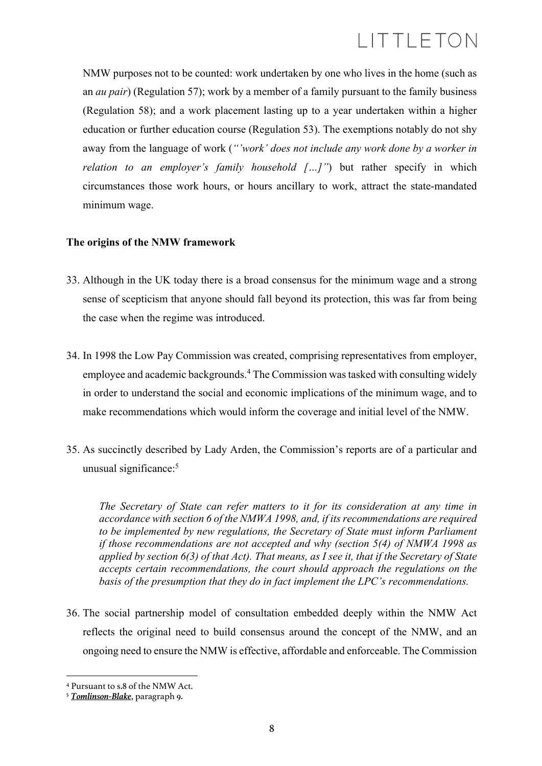NMW purposes not to be counted: work undertaken by one who lives in the home (such as an *au pair*) (Regulation 57); work by a member of a family pursuant to the family business (Regulation 58); and a work placement lasting up to a year undertaken within a higher education or further education course (Regulation 53). The exemptions notably do not shy away from the language of work (*"'work' does not include any work done by a worker in relation to an employer's family household […]"*) but rather specify in which circumstances those work hours, or hours ancillary to work, attract the state-mandated minimum wage.

### **The origins of the NMW framework**

- 33. Although in the UK today there is a broad consensus for the minimum wage and a strong sense of scepticism that anyone should fall beyond its protection, this was far from being the case when the regime was introduced.
- 34. In 1998 the Low Pay Commission was created, comprising representatives from employer, employee and academic backgrounds.<sup>4</sup> The Commission was tasked with consulting widely in order to understand the social and economic implications of the minimum wage, and to make recommendations which would inform the coverage and initial level of the NMW.
- 35. As succinctly described by Lady Arden, the Commission's reports are of a particular and unusual significance:<sup>5</sup>

*The Secretary of State can refer matters to it for its consideration at any time in accordance with section 6 of the NMWA 1998, and, if its recommendations are required to be implemented by new regulations, the Secretary of State must inform Parliament if those recommendations are not accepted and why (section 5(4) of NMWA 1998 as applied by section 6(3) of that Act). That means, as I see it, that if the Secretary of State accepts certain recommendations, the court should approach the regulations on the basis of the presumption that they do in fact implement the LPC's recommendations.*

36. The social partnership model of consultation embedded deeply within the NMW Act reflects the original need to build consensus around the concept of the NMW, and an ongoing need to ensure the NMW is effective, affordable and enforceable. The Commission

<sup>4</sup> Pursuant to s.8 of the NMW Act.

<sup>5</sup> *Tomlinson-Blake*, paragraph 9.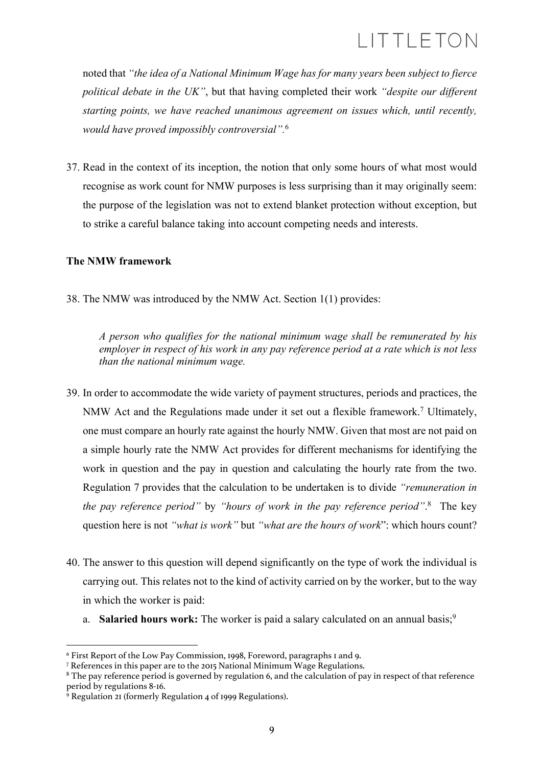noted that *"the idea of a National Minimum Wage has for many years been subject to fierce political debate in the UK"*, but that having completed their work *"despite our different starting points, we have reached unanimous agreement on issues which, until recently, would have proved impossibly controversial".*<sup>6</sup>

37. Read in the context of its inception, the notion that only some hours of what most would recognise as work count for NMW purposes is less surprising than it may originally seem: the purpose of the legislation was not to extend blanket protection without exception, but to strike a careful balance taking into account competing needs and interests.

### **The NMW framework**

38. The NMW was introduced by the NMW Act. Section 1(1) provides:

*A person who qualifies for the national minimum wage shall be remunerated by his employer in respect of his work in any pay reference period at a rate which is not less than the national minimum wage.*

- 39. In order to accommodate the wide variety of payment structures, periods and practices, the NMW Act and the Regulations made under it set out a flexible framework.7 Ultimately, one must compare an hourly rate against the hourly NMW. Given that most are not paid on a simple hourly rate the NMW Act provides for different mechanisms for identifying the work in question and the pay in question and calculating the hourly rate from the two. Regulation 7 provides that the calculation to be undertaken is to divide *"remuneration in the pay reference period"* by *"hours of work in the pay reference period"*. 8 The key question here is not *"what is work"* but *"what are the hours of work*": which hours count?
- 40. The answer to this question will depend significantly on the type of work the individual is carrying out. This relates not to the kind of activity carried on by the worker, but to the way in which the worker is paid:
	- a. **Salaried hours work:** The worker is paid a salary calculated on an annual basis;<sup>9</sup>

<sup>6</sup> First Report of the Low Pay Commission, 1998, Foreword, paragraphs 1 and 9.

<sup>7</sup> References in this paper are to the 2015 National Minimum Wage Regulations.

<sup>&</sup>lt;sup>8</sup> The pay reference period is governed by regulation 6, and the calculation of pay in respect of that reference period by regulations 8-16.<br><sup>9</sup> Regulation 21 (formerly Regulation 4 of 1999 Regulations).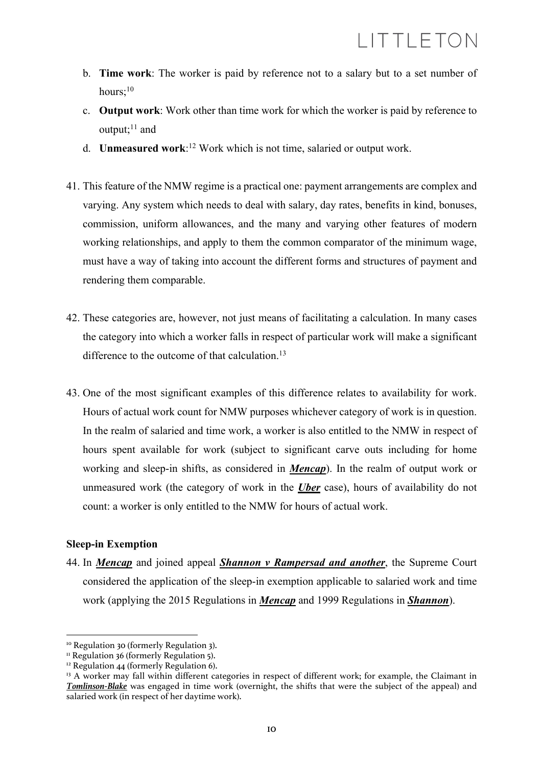- b. **Time work**: The worker is paid by reference not to a salary but to a set number of hours:<sup>10</sup>
- c. **Output work**: Work other than time work for which the worker is paid by reference to output; $^{11}$  and
- d. **Unmeasured work**: <sup>12</sup> Work which is not time, salaried or output work.
- 41. This feature of the NMW regime is a practical one: payment arrangements are complex and varying. Any system which needs to deal with salary, day rates, benefits in kind, bonuses, commission, uniform allowances, and the many and varying other features of modern working relationships, and apply to them the common comparator of the minimum wage, must have a way of taking into account the different forms and structures of payment and rendering them comparable.
- 42. These categories are, however, not just means of facilitating a calculation. In many cases the category into which a worker falls in respect of particular work will make a significant difference to the outcome of that calculation. $13$
- 43. One of the most significant examples of this difference relates to availability for work. Hours of actual work count for NMW purposes whichever category of work is in question. In the realm of salaried and time work, a worker is also entitled to the NMW in respect of hours spent available for work (subject to significant carve outs including for home working and sleep-in shifts, as considered in *Mencap*). In the realm of output work or unmeasured work (the category of work in the *Uber* case), hours of availability do not count: a worker is only entitled to the NMW for hours of actual work.

#### **Sleep-in Exemption**

44. In *Mencap* and joined appeal *Shannon v Rampersad and another*, the Supreme Court considered the application of the sleep-in exemption applicable to salaried work and time work (applying the 2015 Regulations in *Mencap* and 1999 Regulations in *Shannon*).

<sup>10</sup> Regulation 30 (formerly Regulation 3).

<sup>&</sup>lt;sup>11</sup> Regulation 36 (formerly Regulation 5).

 $12$  Regulation 44 (formerly Regulation 6).

<sup>&</sup>lt;sup>13</sup> A worker may fall within different categories in respect of different work; for example, the Claimant in *Tomlinson-Blake* was engaged in time work (overnight, the shifts that were the subject of the appeal) and salaried work (in respect of her daytime work).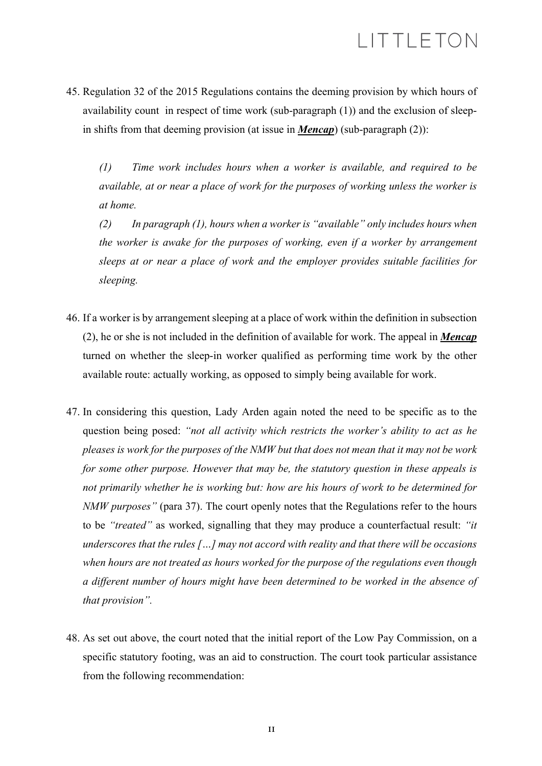45. Regulation 32 of the 2015 Regulations contains the deeming provision by which hours of availability count in respect of time work (sub-paragraph (1)) and the exclusion of sleepin shifts from that deeming provision (at issue in *Mencap*) (sub-paragraph (2)):

*(1) Time work includes hours when a worker is available, and required to be available, at or near a place of work for the purposes of working unless the worker is at home.* 

*(2) In paragraph (1), hours when a worker is "available" only includes hours when the worker is awake for the purposes of working, even if a worker by arrangement sleeps at or near a place of work and the employer provides suitable facilities for sleeping.*

- 46. If a worker is by arrangement sleeping at a place of work within the definition in subsection (2), he or she is not included in the definition of available for work. The appeal in *Mencap* turned on whether the sleep-in worker qualified as performing time work by the other available route: actually working, as opposed to simply being available for work.
- 47. In considering this question, Lady Arden again noted the need to be specific as to the question being posed: *"not all activity which restricts the worker's ability to act as he pleases is work for the purposes of the NMW but that does not mean that it may not be work for some other purpose. However that may be, the statutory question in these appeals is not primarily whether he is working but: how are his hours of work to be determined for NMW purposes"* (para 37). The court openly notes that the Regulations refer to the hours to be *"treated"* as worked, signalling that they may produce a counterfactual result: *"it underscores that the rules […] may not accord with reality and that there will be occasions when hours are not treated as hours worked for the purpose of the regulations even though a different number of hours might have been determined to be worked in the absence of that provision".*
- 48. As set out above, the court noted that the initial report of the Low Pay Commission, on a specific statutory footing, was an aid to construction. The court took particular assistance from the following recommendation: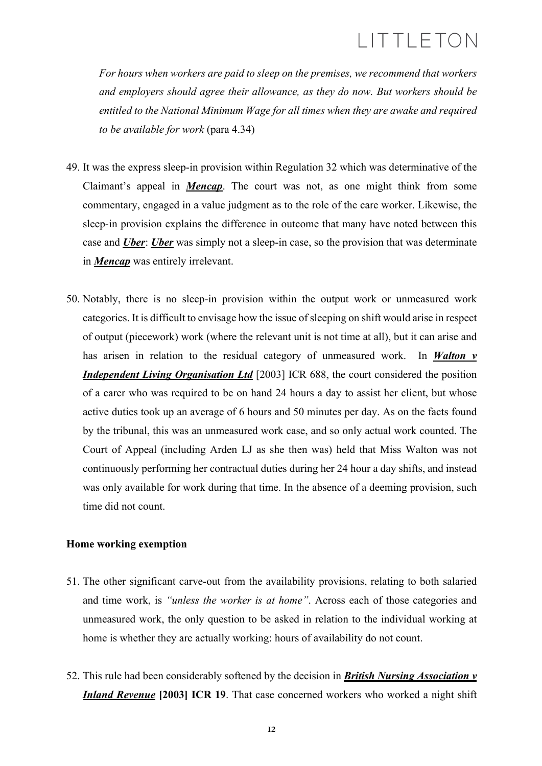*For hours when workers are paid to sleep on the premises, we recommend that workers and employers should agree their allowance, as they do now. But workers should be entitled to the National Minimum Wage for all times when they are awake and required to be available for work* (para 4.34)

- 49. It was the express sleep-in provision within Regulation 32 which was determinative of the Claimant's appeal in *Mencap*. The court was not, as one might think from some commentary, engaged in a value judgment as to the role of the care worker. Likewise, the sleep-in provision explains the difference in outcome that many have noted between this case and *Uber*: *Uber* was simply not a sleep-in case, so the provision that was determinate in *Mencap* was entirely irrelevant.
- 50. Notably, there is no sleep-in provision within the output work or unmeasured work categories. It is difficult to envisage how the issue of sleeping on shift would arise in respect of output (piecework) work (where the relevant unit is not time at all), but it can arise and has arisen in relation to the residual category of unmeasured work. In *Walton v Independent Living Organisation Ltd* [2003] ICR 688, the court considered the position of a carer who was required to be on hand 24 hours a day to assist her client, but whose active duties took up an average of 6 hours and 50 minutes per day. As on the facts found by the tribunal, this was an unmeasured work case, and so only actual work counted. The Court of Appeal (including Arden LJ as she then was) held that Miss Walton was not continuously performing her contractual duties during her 24 hour a day shifts, and instead was only available for work during that time. In the absence of a deeming provision, such time did not count.

#### **Home working exemption**

- 51. The other significant carve-out from the availability provisions, relating to both salaried and time work, is *"unless the worker is at home"*. Across each of those categories and unmeasured work, the only question to be asked in relation to the individual working at home is whether they are actually working: hours of availability do not count.
- 52. This rule had been considerably softened by the decision in *British Nursing Association v Inland Revenue* **[2003] ICR 19**. That case concerned workers who worked a night shift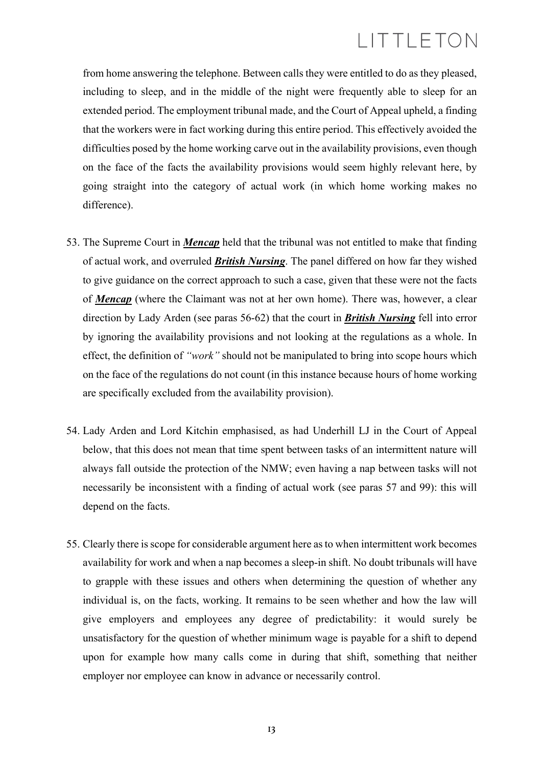from home answering the telephone. Between calls they were entitled to do as they pleased, including to sleep, and in the middle of the night were frequently able to sleep for an extended period. The employment tribunal made, and the Court of Appeal upheld, a finding that the workers were in fact working during this entire period. This effectively avoided the difficulties posed by the home working carve out in the availability provisions, even though on the face of the facts the availability provisions would seem highly relevant here, by going straight into the category of actual work (in which home working makes no difference).

- 53. The Supreme Court in *Mencap* held that the tribunal was not entitled to make that finding of actual work, and overruled *British Nursing*. The panel differed on how far they wished to give guidance on the correct approach to such a case, given that these were not the facts of *Mencap* (where the Claimant was not at her own home). There was, however, a clear direction by Lady Arden (see paras 56-62) that the court in *British Nursing* fell into error by ignoring the availability provisions and not looking at the regulations as a whole. In effect, the definition of *"work"* should not be manipulated to bring into scope hours which on the face of the regulations do not count (in this instance because hours of home working are specifically excluded from the availability provision).
- 54. Lady Arden and Lord Kitchin emphasised, as had Underhill LJ in the Court of Appeal below, that this does not mean that time spent between tasks of an intermittent nature will always fall outside the protection of the NMW; even having a nap between tasks will not necessarily be inconsistent with a finding of actual work (see paras 57 and 99): this will depend on the facts.
- 55. Clearly there is scope for considerable argument here as to when intermittent work becomes availability for work and when a nap becomes a sleep-in shift. No doubt tribunals will have to grapple with these issues and others when determining the question of whether any individual is, on the facts, working. It remains to be seen whether and how the law will give employers and employees any degree of predictability: it would surely be unsatisfactory for the question of whether minimum wage is payable for a shift to depend upon for example how many calls come in during that shift, something that neither employer nor employee can know in advance or necessarily control.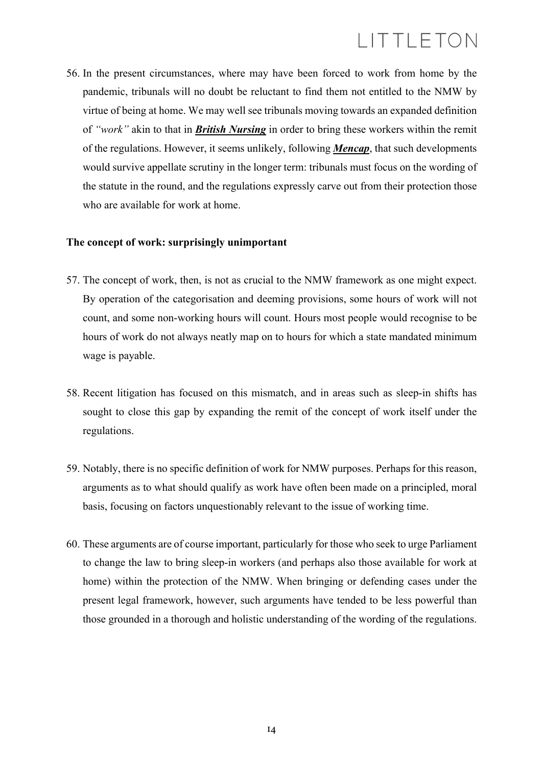56. In the present circumstances, where may have been forced to work from home by the pandemic, tribunals will no doubt be reluctant to find them not entitled to the NMW by virtue of being at home. We may well see tribunals moving towards an expanded definition of *"work"* akin to that in *British Nursing* in order to bring these workers within the remit of the regulations. However, it seems unlikely, following *Mencap*, that such developments would survive appellate scrutiny in the longer term: tribunals must focus on the wording of the statute in the round, and the regulations expressly carve out from their protection those who are available for work at home.

#### **The concept of work: surprisingly unimportant**

- 57. The concept of work, then, is not as crucial to the NMW framework as one might expect. By operation of the categorisation and deeming provisions, some hours of work will not count, and some non-working hours will count. Hours most people would recognise to be hours of work do not always neatly map on to hours for which a state mandated minimum wage is payable.
- 58. Recent litigation has focused on this mismatch, and in areas such as sleep-in shifts has sought to close this gap by expanding the remit of the concept of work itself under the regulations.
- 59. Notably, there is no specific definition of work for NMW purposes. Perhaps for this reason, arguments as to what should qualify as work have often been made on a principled, moral basis, focusing on factors unquestionably relevant to the issue of working time.
- 60. These arguments are of course important, particularly for those who seek to urge Parliament to change the law to bring sleep-in workers (and perhaps also those available for work at home) within the protection of the NMW. When bringing or defending cases under the present legal framework, however, such arguments have tended to be less powerful than those grounded in a thorough and holistic understanding of the wording of the regulations.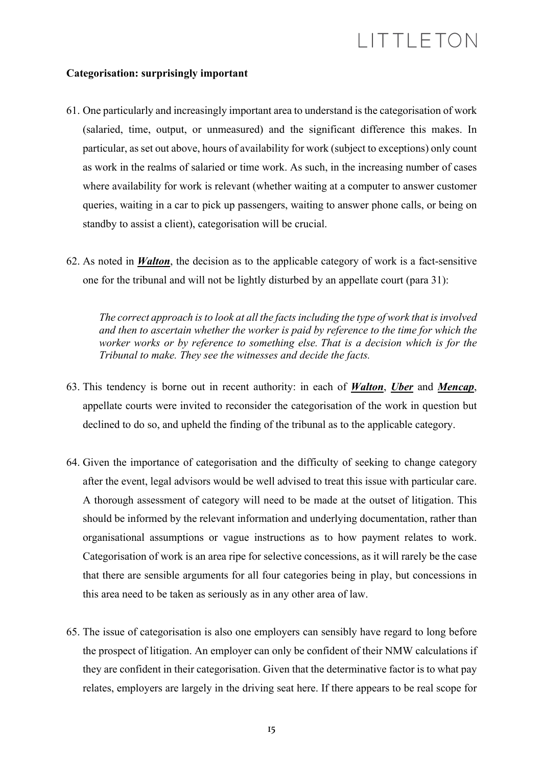#### **Categorisation: surprisingly important**

- 61. One particularly and increasingly important area to understand is the categorisation of work (salaried, time, output, or unmeasured) and the significant difference this makes. In particular, as set out above, hours of availability for work (subject to exceptions) only count as work in the realms of salaried or time work. As such, in the increasing number of cases where availability for work is relevant (whether waiting at a computer to answer customer queries, waiting in a car to pick up passengers, waiting to answer phone calls, or being on standby to assist a client), categorisation will be crucial.
- 62. As noted in *Walton*, the decision as to the applicable category of work is a fact-sensitive one for the tribunal and will not be lightly disturbed by an appellate court (para 31):

*The correct approach is to look at all the facts including the type of work that is involved and then to ascertain whether the worker is paid by reference to the time for which the worker works or by reference to something else. That is a decision which is for the Tribunal to make. They see the witnesses and decide the facts.*

- 63. This tendency is borne out in recent authority: in each of *Walton*, *Uber* and *Mencap*, appellate courts were invited to reconsider the categorisation of the work in question but declined to do so, and upheld the finding of the tribunal as to the applicable category.
- 64. Given the importance of categorisation and the difficulty of seeking to change category after the event, legal advisors would be well advised to treat this issue with particular care. A thorough assessment of category will need to be made at the outset of litigation. This should be informed by the relevant information and underlying documentation, rather than organisational assumptions or vague instructions as to how payment relates to work. Categorisation of work is an area ripe for selective concessions, as it will rarely be the case that there are sensible arguments for all four categories being in play, but concessions in this area need to be taken as seriously as in any other area of law.
- 65. The issue of categorisation is also one employers can sensibly have regard to long before the prospect of litigation. An employer can only be confident of their NMW calculations if they are confident in their categorisation. Given that the determinative factor is to what pay relates, employers are largely in the driving seat here. If there appears to be real scope for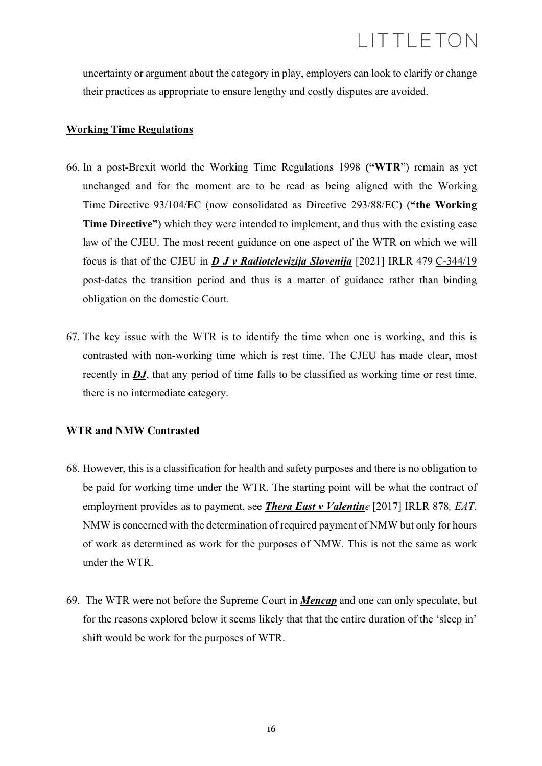uncertainty or argument about the category in play, employers can look to clarify or change their practices as appropriate to ensure lengthy and costly disputes are avoided.

### **Working Time Regulations**

- 66. In a post-Brexit world the Working Time Regulations 1998 **("WTR**") remain as yet unchanged and for the moment are to be read as being aligned with the Working Time Directive 93/104/EC (now consolidated as Directive 293/88/EC) (**"the Working Time Directive"**) which they were intended to implement, and thus with the existing case law of the CJEU. The most recent guidance on one aspect of the WTR on which we will focus is that of the CJEU in *D J v Radiotelevizija Slovenija* [2021] IRLR 479 C-344/19 post-dates the transition period and thus is a matter of guidance rather than binding obligation on the domestic Court*.*
- 67. The key issue with the WTR is to identify the time when one is working, and this is contrasted with non-working time which is rest time. The CJEU has made clear, most recently in **DJ**, that any period of time falls to be classified as working time or rest time, there is no intermediate category.

### **WTR and NMW Contrasted**

- 68. However, this is a classification for health and safety purposes and there is no obligation to be paid for working time under the WTR. The starting point will be what the contract of employment provides as to payment, see *Thera East v Valentine* [2017] IRLR 878*, EAT*. NMW is concerned with the determination of required payment of NMW but only for hours of work as determined as work for the purposes of NMW. This is not the same as work under the WTR.
- 69. The WTR were not before the Supreme Court in *Mencap* and one can only speculate, but for the reasons explored below it seems likely that that the entire duration of the 'sleep in' shift would be work for the purposes of WTR.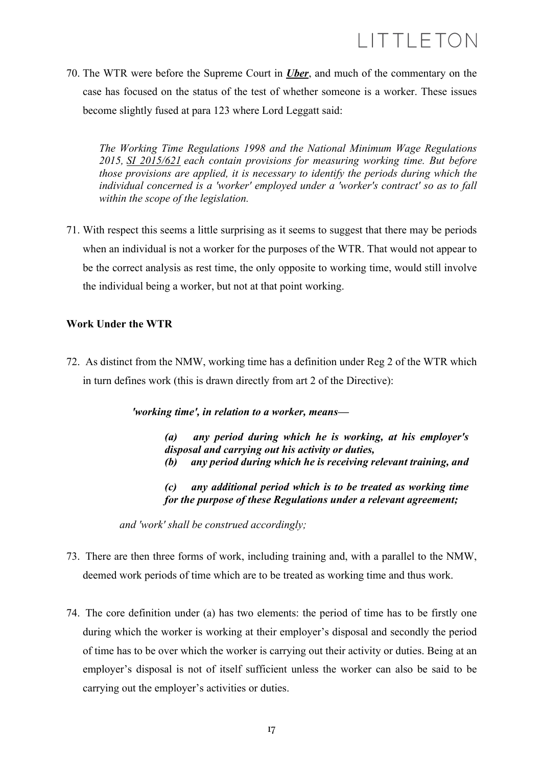70. The WTR were before the Supreme Court in *Uber*, and much of the commentary on the case has focused on the status of the test of whether someone is a worker. These issues become slightly fused at para 123 where Lord Leggatt said:

*The Working Time Regulations 1998 and the National Minimum Wage Regulations 2015, SI 2015/621 each contain provisions for measuring working time. But before those provisions are applied, it is necessary to identify the periods during which the individual concerned is a 'worker' employed under a 'worker's contract' so as to fall within the scope of the legislation.*

71. With respect this seems a little surprising as it seems to suggest that there may be periods when an individual is not a worker for the purposes of the WTR. That would not appear to be the correct analysis as rest time, the only opposite to working time, would still involve the individual being a worker, but not at that point working.

### **Work Under the WTR**

72. As distinct from the NMW, working time has a definition under Reg 2 of the WTR which in turn defines work (this is drawn directly from art 2 of the Directive):

*'working time', in relation to a worker, means—*

*(a) any period during which he is working, at his employer's disposal and carrying out his activity or duties, (b) any period during which he is receiving relevant training, and*

*(c) any additional period which is to be treated as working time for the purpose of these Regulations under a relevant agreement;*

*and 'work' shall be construed accordingly;*

- 73. There are then three forms of work, including training and, with a parallel to the NMW, deemed work periods of time which are to be treated as working time and thus work.
- 74. The core definition under (a) has two elements: the period of time has to be firstly one during which the worker is working at their employer's disposal and secondly the period of time has to be over which the worker is carrying out their activity or duties. Being at an employer's disposal is not of itself sufficient unless the worker can also be said to be carrying out the employer's activities or duties.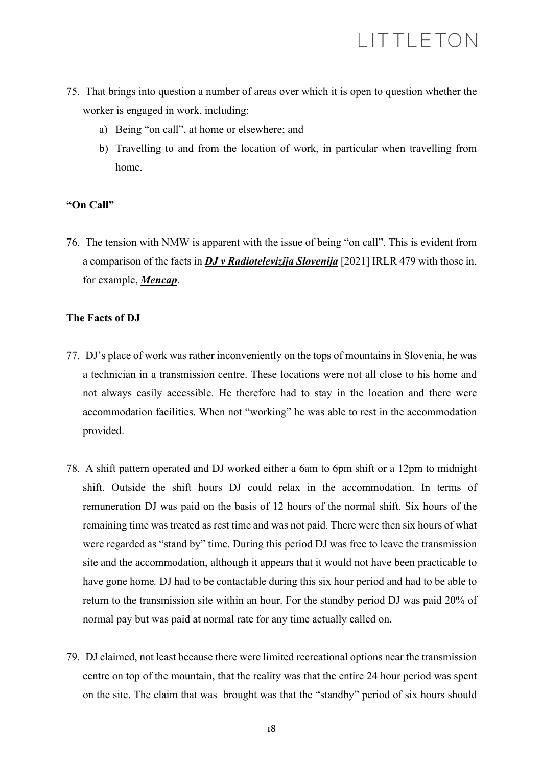- 75. That brings into question a number of areas over which it is open to question whether the worker is engaged in work, including:
	- a) Being "on call", at home or elsewhere; and
	- b) Travelling to and from the location of work, in particular when travelling from home.

### **"On Call"**

76. The tension with NMW is apparent with the issue of being "on call". This is evident from a comparison of the facts in *DJ v Radiotelevizija Slovenija* [2021] IRLR 479 with those in, for example, *Mencap*.

### **The Facts of DJ**

- 77. DJ's place of work was rather inconveniently on the tops of mountains in Slovenia, he was a technician in a transmission centre. These locations were not all close to his home and not always easily accessible. He therefore had to stay in the location and there were accommodation facilities. When not "working" he was able to rest in the accommodation provided.
- 78. A shift pattern operated and DJ worked either a 6am to 6pm shift or a 12pm to midnight shift. Outside the shift hours DJ could relax in the accommodation. In terms of remuneration DJ was paid on the basis of 12 hours of the normal shift. Six hours of the remaining time was treated as rest time and was not paid. There were then six hours of what were regarded as "stand by" time. During this period DJ was free to leave the transmission site and the accommodation, although it appears that it would not have been practicable to have gone home*.* DJ had to be contactable during this six hour period and had to be able to return to the transmission site within an hour. For the standby period DJ was paid 20% of normal pay but was paid at normal rate for any time actually called on.
- 79. DJ claimed, not least because there were limited recreational options near the transmission centre on top of the mountain, that the reality was that the entire 24 hour period was spent on the site. The claim that was brought was that the "standby" period of six hours should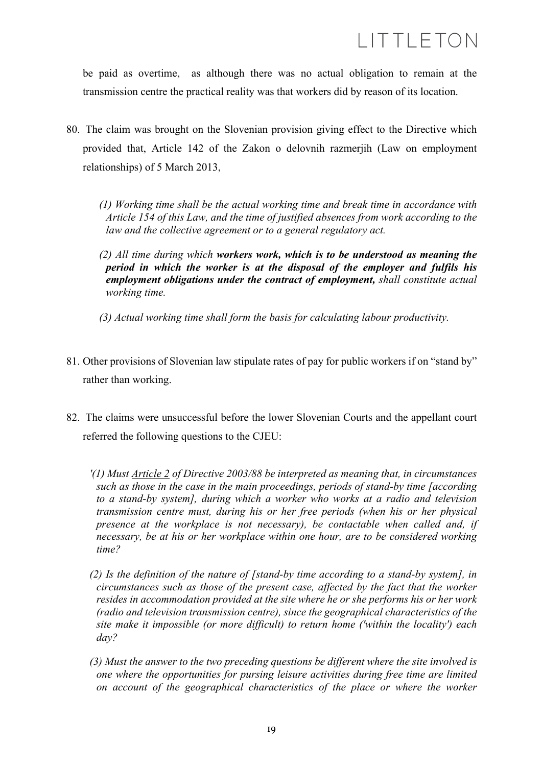be paid as overtime, as although there was no actual obligation to remain at the transmission centre the practical reality was that workers did by reason of its location.

- 80. The claim was brought on the Slovenian provision giving effect to the Directive which provided that, Article 142 of the Zakon o delovnih razmerjih (Law on employment relationships) of 5 March 2013,
	- *(1) Working time shall be the actual working time and break time in accordance with Article 154 of this Law, and the time of justified absences from work according to the law and the collective agreement or to a general regulatory act.*
	- *(2) All time during which workers work, which is to be understood as meaning the period in which the worker is at the disposal of the employer and fulfils his employment obligations under the contract of employment, shall constitute actual working time.*
	- *(3) Actual working time shall form the basis for calculating labour productivity.*
- 81. Other provisions of Slovenian law stipulate rates of pay for public workers if on "stand by" rather than working.
- 82. The claims were unsuccessful before the lower Slovenian Courts and the appellant court referred the following questions to the CJEU:
	- *'(1) Must Article 2 of Directive 2003/88 be interpreted as meaning that, in circumstances such as those in the case in the main proceedings, periods of stand-by time [according to a stand-by system], during which a worker who works at a radio and television transmission centre must, during his or her free periods (when his or her physical presence at the workplace is not necessary), be contactable when called and, if necessary, be at his or her workplace within one hour, are to be considered working time?*
	- *(2) Is the definition of the nature of [stand-by time according to a stand-by system], in circumstances such as those of the present case, affected by the fact that the worker resides in accommodation provided at the site where he or she performs his or her work (radio and television transmission centre), since the geographical characteristics of the site make it impossible (or more difficult) to return home ('within the locality') each day?*
	- *(3) Must the answer to the two preceding questions be different where the site involved is one where the opportunities for pursing leisure activities during free time are limited on account of the geographical characteristics of the place or where the worker*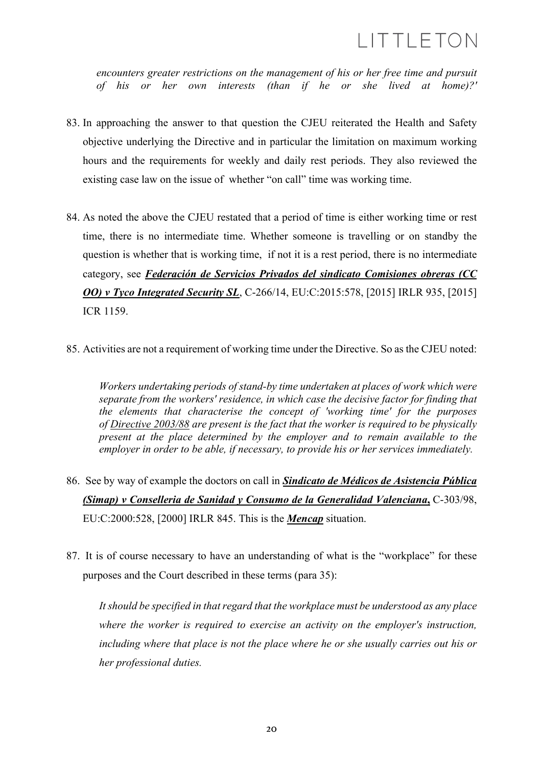*encounters greater restrictions on the management of his or her free time and pursuit of his or her own interests (than if he or she lived at home)?'*

- 83. In approaching the answer to that question the CJEU reiterated the Health and Safety objective underlying the Directive and in particular the limitation on maximum working hours and the requirements for weekly and daily rest periods. They also reviewed the existing case law on the issue of whether "on call" time was working time.
- 84. As noted the above the CJEU restated that a period of time is either working time or rest time, there is no intermediate time. Whether someone is travelling or on standby the question is whether that is working time, if not it is a rest period, there is no intermediate category, see *Federación de Servicios Privados del sindicato Comisiones obreras (CC OO) v Tyco Integrated Security SL*, C-266/14, EU:C:2015:578, [2015] IRLR 935, [2015] ICR 1159.
- 85. Activities are not a requirement of working time under the Directive. So as the CJEU noted:

*Workers undertaking periods of stand-by time undertaken at places of work which were separate from the workers' residence, in which case the decisive factor for finding that the elements that characterise the concept of 'working time' for the purposes of Directive 2003/88 are present is the fact that the worker is required to be physically present at the place determined by the employer and to remain available to the employer in order to be able, if necessary, to provide his or her services immediately.*

- 86. See by way of example the doctors on call in *Sindicato de Médicos de Asistencia Pública (Simap) v Conselleria de Sanidad y Consumo de la Generalidad Valenciana***,** C-303/98, EU:C:2000:528, [2000] IRLR 845. This is the *Mencap* situation.
- 87. It is of course necessary to have an understanding of what is the "workplace" for these purposes and the Court described in these terms (para 35):

*It should be specified in that regard that the workplace must be understood as any place where the worker is required to exercise an activity on the employer's instruction, including where that place is not the place where he or she usually carries out his or her professional duties.*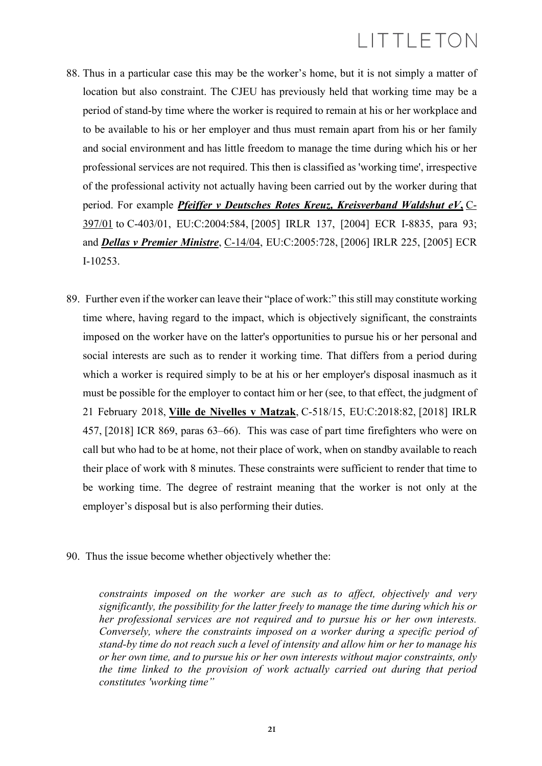- 88. Thus in a particular case this may be the worker's home, but it is not simply a matter of location but also constraint. The CJEU has previously held that working time may be a period of stand-by time where the worker is required to remain at his or her workplace and to be available to his or her employer and thus must remain apart from his or her family and social environment and has little freedom to manage the time during which his or her professional services are not required. This then is classified as 'working time', irrespective of the professional activity not actually having been carried out by the worker during that period. For example *Pfeiffer v Deutsches Rotes Kreuz, Kreisverband Waldshut eV***,** C-397/01 to C-403/01, EU:C:2004:584, [2005] IRLR 137, [2004] ECR I-8835, para 93; and *Dellas v Premier Ministre*, C-14/04, EU:C:2005:728, [2006] IRLR 225, [2005] ECR I-10253.
- 89. Further even if the worker can leave their "place of work:" this still may constitute working time where, having regard to the impact, which is objectively significant, the constraints imposed on the worker have on the latter's opportunities to pursue his or her personal and social interests are such as to render it working time. That differs from a period during which a worker is required simply to be at his or her employer's disposal inasmuch as it must be possible for the employer to contact him or her (see, to that effect, the judgment of 21 February 2018, **Ville de Nivelles v Matzak**, C-518/15, EU:C:2018:82, [2018] IRLR 457, [2018] ICR 869, paras 63–66). This was case of part time firefighters who were on call but who had to be at home, not their place of work, when on standby available to reach their place of work with 8 minutes. These constraints were sufficient to render that time to be working time. The degree of restraint meaning that the worker is not only at the employer's disposal but is also performing their duties.
- 90. Thus the issue become whether objectively whether the:

*constraints imposed on the worker are such as to affect, objectively and very significantly, the possibility for the latter freely to manage the time during which his or her professional services are not required and to pursue his or her own interests. Conversely, where the constraints imposed on a worker during a specific period of stand-by time do not reach such a level of intensity and allow him or her to manage his or her own time, and to pursue his or her own interests without major constraints, only the time linked to the provision of work actually carried out during that period constitutes 'working time"*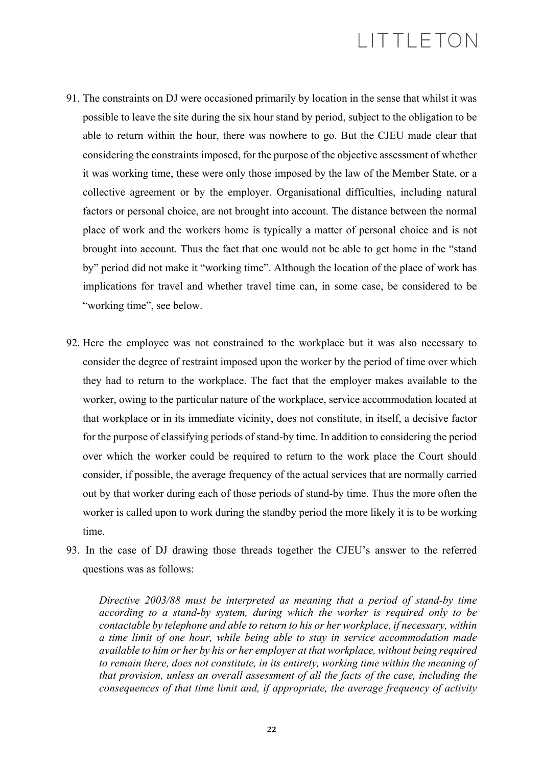- 91. The constraints on DJ were occasioned primarily by location in the sense that whilst it was possible to leave the site during the six hour stand by period, subject to the obligation to be able to return within the hour, there was nowhere to go. But the CJEU made clear that considering the constraints imposed, for the purpose of the objective assessment of whether it was working time, these were only those imposed by the law of the Member State, or a collective agreement or by the employer. Organisational difficulties, including natural factors or personal choice, are not brought into account. The distance between the normal place of work and the workers home is typically a matter of personal choice and is not brought into account. Thus the fact that one would not be able to get home in the "stand by" period did not make it "working time". Although the location of the place of work has implications for travel and whether travel time can, in some case, be considered to be "working time", see below.
- 92. Here the employee was not constrained to the workplace but it was also necessary to consider the degree of restraint imposed upon the worker by the period of time over which they had to return to the workplace. The fact that the employer makes available to the worker, owing to the particular nature of the workplace, service accommodation located at that workplace or in its immediate vicinity, does not constitute, in itself, a decisive factor for the purpose of classifying periods of stand-by time. In addition to considering the period over which the worker could be required to return to the work place the Court should consider, if possible, the average frequency of the actual services that are normally carried out by that worker during each of those periods of stand-by time. Thus the more often the worker is called upon to work during the standby period the more likely it is to be working time.
- 93. In the case of DJ drawing those threads together the CJEU's answer to the referred questions was as follows:

*Directive 2003/88 must be interpreted as meaning that a period of stand-by time according to a stand-by system, during which the worker is required only to be contactable by telephone and able to return to his or her workplace, if necessary, within a time limit of one hour, while being able to stay in service accommodation made available to him or her by his or her employer at that workplace, without being required to remain there, does not constitute, in its entirety, working time within the meaning of that provision, unless an overall assessment of all the facts of the case, including the consequences of that time limit and, if appropriate, the average frequency of activity*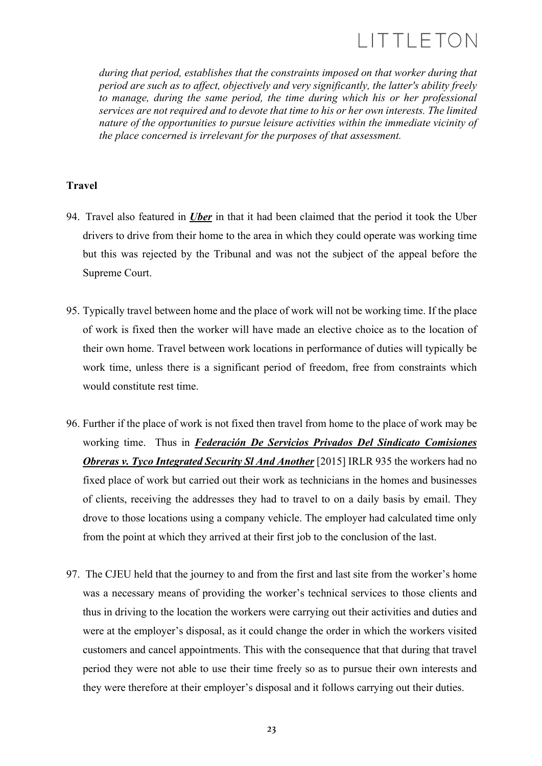*during that period, establishes that the constraints imposed on that worker during that period are such as to affect, objectively and very significantly, the latter's ability freely to manage, during the same period, the time during which his or her professional services are not required and to devote that time to his or her own interests. The limited nature of the opportunities to pursue leisure activities within the immediate vicinity of the place concerned is irrelevant for the purposes of that assessment.*

### **Travel**

- 94. Travel also featured in *Uber* in that it had been claimed that the period it took the Uber drivers to drive from their home to the area in which they could operate was working time but this was rejected by the Tribunal and was not the subject of the appeal before the Supreme Court.
- 95. Typically travel between home and the place of work will not be working time. If the place of work is fixed then the worker will have made an elective choice as to the location of their own home. Travel between work locations in performance of duties will typically be work time, unless there is a significant period of freedom, free from constraints which would constitute rest time.
- 96. Further if the place of work is not fixed then travel from home to the place of work may be working time. Thus in *Federación De Servicios Privados Del Sindicato Comisiones Obreras v. Tyco Integrated Security SI And Another* [2015] IRLR 935 the workers had no fixed place of work but carried out their work as technicians in the homes and businesses of clients, receiving the addresses they had to travel to on a daily basis by email. They drove to those locations using a company vehicle. The employer had calculated time only from the point at which they arrived at their first job to the conclusion of the last.
- 97. The CJEU held that the journey to and from the first and last site from the worker's home was a necessary means of providing the worker's technical services to those clients and thus in driving to the location the workers were carrying out their activities and duties and were at the employer's disposal, as it could change the order in which the workers visited customers and cancel appointments. This with the consequence that that during that travel period they were not able to use their time freely so as to pursue their own interests and they were therefore at their employer's disposal and it follows carrying out their duties.